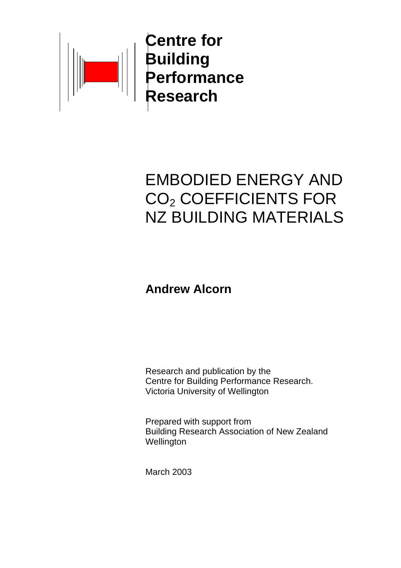

 **Centre for THE Performance** 

# EMBODIED ENERGY AND CO2 COEFFICIENTS FOR NZ BUILDING MATERIALS

## **Andrew Alcorn**

Research and publication by the Centre for Building Performance Research. Victoria University of Wellington

Prepared with support from Building Research Association of New Zealand **Wellington** 

March 2003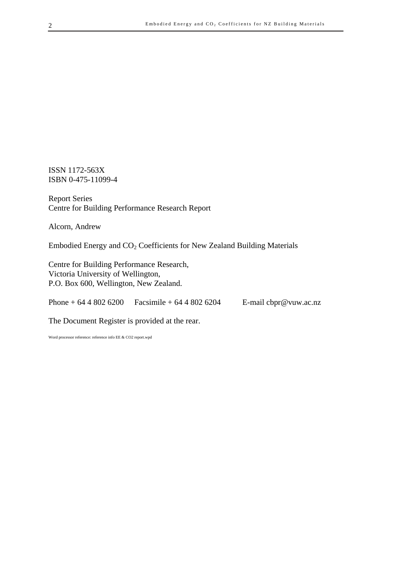ISSN 1172-563X ISBN 0-475-11099-4

Report Series Centre for Building Performance Research Report

Alcorn, Andrew

Embodied Energy and CO2 Coefficients for New Zealand Building Materials

Centre for Building Performance Research, Victoria University of Wellington, P.O. Box 600, Wellington, New Zealand.

Phone + 64 4 802 6200 Facsimile + 64 4 802 6204 E-mail cbpr@vuw.ac.nz

The Document Register is provided at the rear.

Word processor reference: reference info EE & CO2 report.wpd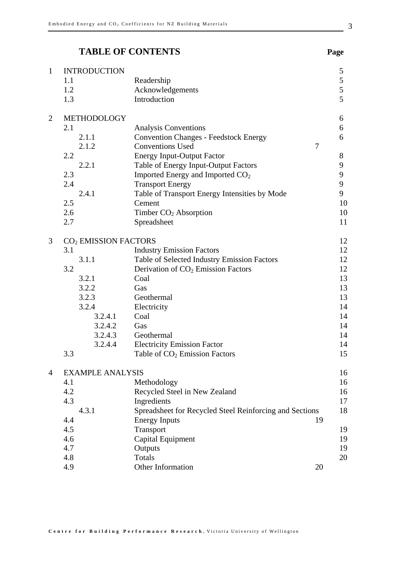## **TABLE OF CONTENTS Page**

| $\mathbf{1}$   | <b>INTRODUCTION</b>              |                                                         | 5  |
|----------------|----------------------------------|---------------------------------------------------------|----|
|                | 1.1                              | Readership                                              | 5  |
|                | 1.2                              | Acknowledgements                                        | 5  |
|                | 1.3                              | Introduction                                            | 5  |
| $\overline{2}$ | METHODOLOGY                      |                                                         | 6  |
|                | 2.1                              | Analysis Conventions                                    | 6  |
|                | 2.1.1                            | <b>Convention Changes - Feedstock Energy</b>            | 6  |
|                | 2.1.2                            | <b>Conventions Used</b><br>$\tau$                       |    |
|                | 2.2                              | <b>Energy Input-Output Factor</b>                       | 8  |
|                | 2.2.1                            | Table of Energy Input-Output Factors                    | 9  |
|                | 2.3                              | Imported Energy and Imported CO <sub>2</sub>            | 9  |
|                | 2.4                              | <b>Transport Energy</b>                                 | 9  |
|                | 2.4.1                            | Table of Transport Energy Intensities by Mode           | 9  |
|                | 2.5                              | Cement                                                  | 10 |
|                | 2.6                              | Timber $CO2$ Absorption                                 | 10 |
|                | 2.7                              | Spreadsheet                                             | 11 |
| 3              | CO <sub>2</sub> EMISSION FACTORS |                                                         | 12 |
|                | 3.1                              | <b>Industry Emission Factors</b>                        | 12 |
|                | 3.1.1                            | Table of Selected Industry Emission Factors             | 12 |
|                | 3.2                              | Derivation of CO <sub>2</sub> Emission Factors          | 12 |
|                | 3.2.1                            | Coal                                                    | 13 |
|                | 3.2.2                            | Gas                                                     | 13 |
|                | 3.2.3                            | Geothermal                                              | 13 |
|                | 3.2.4                            | Electricity                                             | 14 |
|                | 3.2.4.1                          | Coal                                                    | 14 |
|                | 3.2.4.2                          | Gas                                                     | 14 |
|                | 3.2.4.3                          | Geothermal                                              | 14 |
|                | 3.2.4.4                          | <b>Electricity Emission Factor</b>                      | 14 |
|                | 3.3                              | Table of $CO2$ Emission Factors                         | 15 |
| $\overline{4}$ | <b>EXAMPLE ANALYSIS</b>          |                                                         | 16 |
|                | 4.1                              | Methodology                                             | 16 |
|                | 4.2                              | Recycled Steel in New Zealand                           | 16 |
|                | 4.3                              | Ingredients                                             | 17 |
|                | 4.3.1                            | Spreadsheet for Recycled Steel Reinforcing and Sections | 18 |
|                | 4.4                              | <b>Energy Inputs</b>                                    | 19 |
|                | 4.5                              | Transport                                               | 19 |
|                | 4.6                              | Capital Equipment                                       | 19 |
|                | 4.7                              | Outputs                                                 | 19 |
|                | 4.8                              | <b>Totals</b>                                           | 20 |
|                | 4.9                              | Other Information                                       | 20 |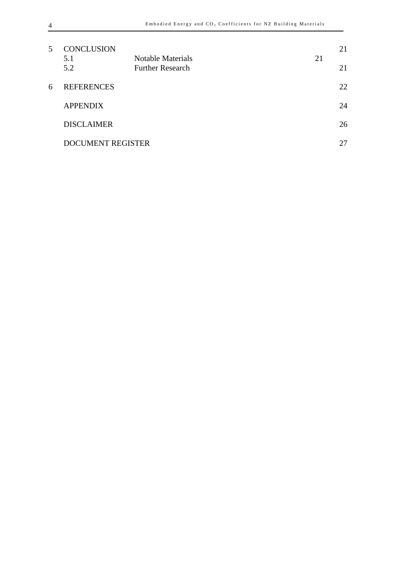| 5. | <b>CONCLUSION</b>        |                                                     |    | 21 |
|----|--------------------------|-----------------------------------------------------|----|----|
|    | 5.1<br>5.2               | <b>Notable Materials</b><br><b>Further Research</b> | 21 | 21 |
| 6  | <b>REFERENCES</b>        |                                                     |    | 22 |
|    | <b>APPENDIX</b>          |                                                     |    | 24 |
|    | <b>DISCLAIMER</b>        |                                                     |    | 26 |
|    | <b>DOCUMENT REGISTER</b> |                                                     |    | 27 |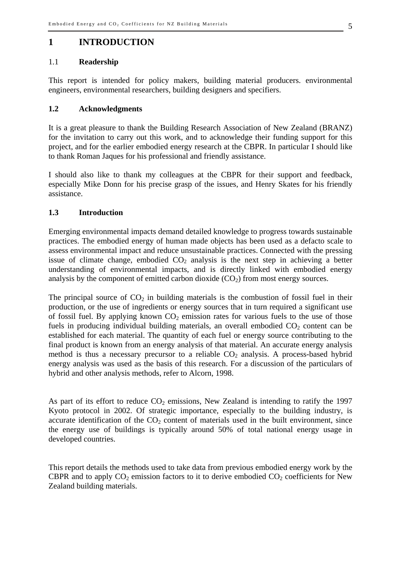#### **1 INTRODUCTION**

#### 1.1 **Readership**

This report is intended for policy makers, building material producers. environmental engineers, environmental researchers, building designers and specifiers.

#### **1.2 Acknowledgments**

It is a great pleasure to thank the Building Research Association of New Zealand (BRANZ) for the invitation to carry out this work, and to acknowledge their funding support for this project, and for the earlier embodied energy research at the CBPR. In particular I should like to thank Roman Jaques for his professional and friendly assistance.

I should also like to thank my colleagues at the CBPR for their support and feedback, especially Mike Donn for his precise grasp of the issues, and Henry Skates for his friendly assistance.

#### **1.3 Introduction**

Emerging environmental impacts demand detailed knowledge to progress towards sustainable practices. The embodied energy of human made objects has been used as a defacto scale to assess environmental impact and reduce unsustainable practices. Connected with the pressing issue of climate change, embodied  $CO<sub>2</sub>$  analysis is the next step in achieving a better understanding of environmental impacts, and is directly linked with embodied energy analysis by the component of emitted carbon dioxide  $(CO<sub>2</sub>)$  from most energy sources.

The principal source of  $CO<sub>2</sub>$  in building materials is the combustion of fossil fuel in their production, or the use of ingredients or energy sources that in turn required a significant use of fossil fuel. By applying known  $CO<sub>2</sub>$  emission rates for various fuels to the use of those fuels in producing individual building materials, an overall embodied  $CO<sub>2</sub>$  content can be established for each material. The quantity of each fuel or energy source contributing to the final product is known from an energy analysis of that material. An accurate energy analysis method is thus a necessary precursor to a reliable  $CO<sub>2</sub>$  analysis. A process-based hybrid energy analysis was used as the basis of this research. For a discussion of the particulars of hybrid and other analysis methods, refer to Alcorn, 1998.

As part of its effort to reduce  $CO<sub>2</sub>$  emissions, New Zealand is intending to ratify the 1997 Kyoto protocol in 2002. Of strategic importance, especially to the building industry, is accurate identification of the  $CO<sub>2</sub>$  content of materials used in the built environment, since the energy use of buildings is typically around 50% of total national energy usage in developed countries.

This report details the methods used to take data from previous embodied energy work by the CBPR and to apply  $CO<sub>2</sub>$  emission factors to it to derive embodied  $CO<sub>2</sub>$  coefficients for New Zealand building materials.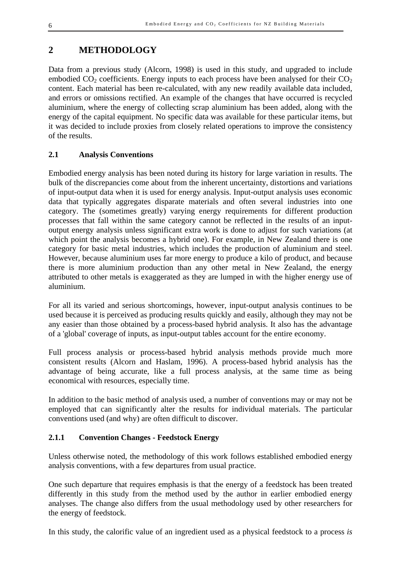## **2 METHODOLOGY**

Data from a previous study (Alcorn, 1998) is used in this study, and upgraded to include embodied  $CO<sub>2</sub>$  coefficients. Energy inputs to each process have been analysed for their  $CO<sub>2</sub>$ content. Each material has been re-calculated, with any new readily available data included, and errors or omissions rectified. An example of the changes that have occurred is recycled aluminium, where the energy of collecting scrap aluminium has been added, along with the energy of the capital equipment. No specific data was available for these particular items, but it was decided to include proxies from closely related operations to improve the consistency of the results.

#### **2.1 Analysis Conventions**

Embodied energy analysis has been noted during its history for large variation in results. The bulk of the discrepancies come about from the inherent uncertainty, distortions and variations of input-output data when it is used for energy analysis. Input-output analysis uses economic data that typically aggregates disparate materials and often several industries into one category. The (sometimes greatly) varying energy requirements for different production processes that fall within the same category cannot be reflected in the results of an inputoutput energy analysis unless significant extra work is done to adjust for such variations (at which point the analysis becomes a hybrid one). For example, in New Zealand there is one category for basic metal industries, which includes the production of aluminium and steel. However, because aluminium uses far more energy to produce a kilo of product, and because there is more aluminium production than any other metal in New Zealand, the energy attributed to other metals is exaggerated as they are lumped in with the higher energy use of aluminium.

For all its varied and serious shortcomings, however, input-output analysis continues to be used because it is perceived as producing results quickly and easily, although they may not be any easier than those obtained by a process-based hybrid analysis. It also has the advantage of a 'global' coverage of inputs, as input-output tables account for the entire economy.

Full process analysis or process-based hybrid analysis methods provide much more consistent results (Alcorn and Haslam, 1996). A process-based hybrid analysis has the advantage of being accurate, like a full process analysis, at the same time as being economical with resources, especially time.

In addition to the basic method of analysis used, a number of conventions may or may not be employed that can significantly alter the results for individual materials. The particular conventions used (and why) are often difficult to discover.

#### **2.1.1 Convention Changes - Feedstock Energy**

Unless otherwise noted, the methodology of this work follows established embodied energy analysis conventions, with a few departures from usual practice.

One such departure that requires emphasis is that the energy of a feedstock has been treated differently in this study from the method used by the author in earlier embodied energy analyses. The change also differs from the usual methodology used by other researchers for the energy of feedstock.

In this study, the calorific value of an ingredient used as a physical feedstock to a process *is*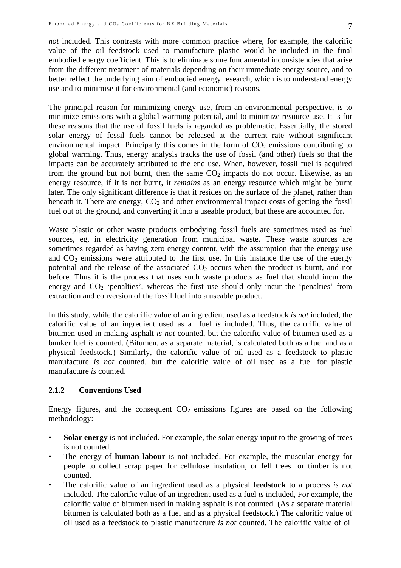*not* included. This contrasts with more common practice where, for example, the calorific value of the oil feedstock used to manufacture plastic would be included in the final embodied energy coefficient. This is to eliminate some fundamental inconsistencies that arise from the different treatment of materials depending on their immediate energy source, and to better reflect the underlying aim of embodied energy research, which is to understand energy use and to minimise it for environmental (and economic) reasons.

The principal reason for minimizing energy use, from an environmental perspective, is to minimize emissions with a global warming potential, and to minimize resource use. It is for these reasons that the use of fossil fuels is regarded as problematic. Essentially, the stored solar energy of fossil fuels cannot be released at the current rate without significant environmental impact. Principally this comes in the form of  $CO<sub>2</sub>$  emissions contributing to global warming. Thus, energy analysis tracks the use of fossil (and other) fuels so that the impacts can be accurately attributed to the end use. When, however, fossil fuel is acquired from the ground but not burnt, then the same  $CO<sub>2</sub>$  impacts do not occur. Likewise, as an energy resource, if it is not burnt, it *remains* as an energy resource which might be burnt later. The only significant difference is that it resides on the surface of the planet, rather than beneath it. There are energy,  $CO<sub>2</sub>$  and other environmental impact costs of getting the fossil fuel out of the ground, and converting it into a useable product, but these are accounted for.

Waste plastic or other waste products embodying fossil fuels are sometimes used as fuel sources, eg, in electricity generation from municipal waste. These waste sources are sometimes regarded as having zero energy content, with the assumption that the energy use and  $CO<sub>2</sub>$  emissions were attributed to the first use. In this instance the use of the energy potential and the release of the associated  $CO<sub>2</sub>$  occurs when the product is burnt, and not before. Thus it is the process that uses such waste products as fuel that should incur the energy and  $CO<sub>2</sub>$  'penalties', whereas the first use should only incur the 'penalties' from extraction and conversion of the fossil fuel into a useable product.

In this study, while the calorific value of an ingredient used as a feedstock *is not* included, the calorific value of an ingredient used as a fuel *is* included. Thus, the calorific value of bitumen used in making asphalt *is not* counted, but the calorific value of bitumen used as a bunker fuel *is* counted. (Bitumen, as a separate material, is calculated both as a fuel and as a physical feedstock.) Similarly, the calorific value of oil used as a feedstock to plastic manufacture *is not* counted, but the calorific value of oil used as a fuel for plastic manufacture *is* counted.

#### **2.1.2 Conventions Used**

Energy figures, and the consequent  $CO<sub>2</sub>$  emissions figures are based on the following methodology:

- **Solar energy** is not included. For example, the solar energy input to the growing of trees is not counted.
- The energy of **human labour** is not included. For example, the muscular energy for people to collect scrap paper for cellulose insulation, or fell trees for timber is not counted.
- The calorific value of an ingredient used as a physical **feedstock** to a process *is not* included. The calorific value of an ingredient used as a fuel *is* included, For example, the calorific value of bitumen used in making asphalt is not counted. (As a separate material bitumen is calculated both as a fuel and as a physical feedstock.) The calorific value of oil used as a feedstock to plastic manufacture *is not* counted. The calorific value of oil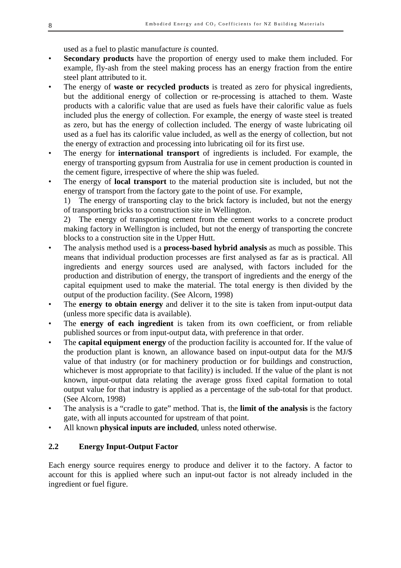used as a fuel to plastic manufacture *is* counted.

- **Secondary products** have the proportion of energy used to make them included. For example, fly-ash from the steel making process has an energy fraction from the entire steel plant attributed to it.
- The energy of **waste or recycled products** is treated as zero for physical ingredients, but the additional energy of collection or re-processing is attached to them. Waste products with a calorific value that are used as fuels have their calorific value as fuels included plus the energy of collection. For example, the energy of waste steel is treated as zero, but has the energy of collection included. The energy of waste lubricating oil used as a fuel has its calorific value included, as well as the energy of collection, but not the energy of extraction and processing into lubricating oil for its first use.
- The energy for **international transport** of ingredients is included. For example, the energy of transporting gypsum from Australia for use in cement production is counted in the cement figure, irrespective of where the ship was fueled.
- The energy of **local transport** to the material production site is included, but not the energy of transport from the factory gate to the point of use. For example,

1) The energy of transporting clay to the brick factory is included, but not the energy of transporting bricks to a construction site in Wellington.

2) The energy of transporting cement from the cement works to a concrete product making factory in Wellington is included, but not the energy of transporting the concrete blocks to a construction site in the Upper Hutt.

- The analysis method used is a **process-based hybrid analysis** as much as possible. This means that individual production processes are first analysed as far as is practical. All ingredients and energy sources used are analysed, with factors included for the production and distribution of energy, the transport of ingredients and the energy of the capital equipment used to make the material. The total energy is then divided by the output of the production facility. (See Alcorn, 1998)
- The **energy to obtain energy** and deliver it to the site is taken from input-output data (unless more specific data is available).
- The **energy of each ingredient** is taken from its own coefficient, or from reliable published sources or from input-output data, with preference in that order.
- The **capital equipment energy** of the production facility is accounted for. If the value of the production plant is known, an allowance based on input-output data for the MJ/\$ value of that industry (or for machinery production or for buildings and construction, whichever is most appropriate to that facility) is included. If the value of the plant is not known, input-output data relating the average gross fixed capital formation to total output value for that industry is applied as a percentage of the sub-total for that product. (See Alcorn, 1998)
- The analysis is a "cradle to gate" method. That is, the **limit of the analysis** is the factory gate, with all inputs accounted for upstream of that point.
- All known **physical inputs are included**, unless noted otherwise.

#### **2.2 Energy Input-Output Factor**

Each energy source requires energy to produce and deliver it to the factory. A factor to account for this is applied where such an input-out factor is not already included in the ingredient or fuel figure.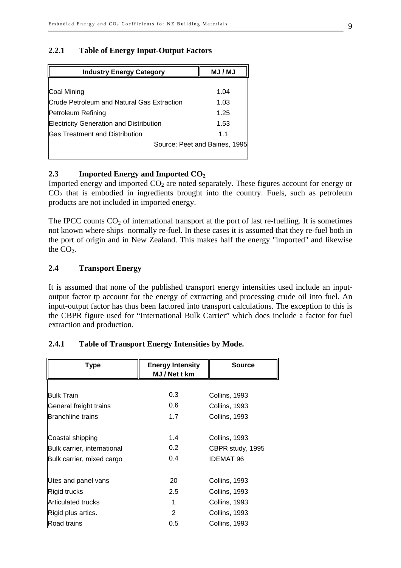#### **2.2.1 Table of Energy Input-Output Factors**

| <b>Industry Energy Category</b>                | <b>MJ/MJ</b>                  |
|------------------------------------------------|-------------------------------|
|                                                |                               |
| Coal Mining                                    | 1.04                          |
| Crude Petroleum and Natural Gas Extraction     | 1.03                          |
| Petroleum Refining                             | 1.25                          |
| <b>Electricity Generation and Distribution</b> | 1.53                          |
| <b>Gas Treatment and Distribution</b>          | 1.1                           |
|                                                | Source: Peet and Baines, 1995 |
|                                                |                               |

#### 2.3 **Imported Energy and Imported CO<sub>2</sub>**

Imported energy and imported  $CO<sub>2</sub>$  are noted separately. These figures account for energy or  $CO<sub>2</sub>$  that is embodied in ingredients brought into the country. Fuels, such as petroleum products are not included in imported energy.

The IPCC counts  $CO<sub>2</sub>$  of international transport at the port of last re-fuelling. It is sometimes not known where ships normally re-fuel. In these cases it is assumed that they re-fuel both in the port of origin and in New Zealand. This makes half the energy "imported" and likewise the  $CO<sub>2</sub>$ .

#### **2.4 Transport Energy**

It is assumed that none of the published transport energy intensities used include an inputoutput factor tp account for the energy of extracting and processing crude oil into fuel. An input-output factor has thus been factored into transport calculations. The exception to this is the CBPR figure used for "International Bulk Carrier" which does include a factor for fuel extraction and production.

| Type                        | <b>Energy Intensity</b><br>MJ / Net t km | <b>Source</b>    |
|-----------------------------|------------------------------------------|------------------|
|                             |                                          |                  |
| <b>Bulk Train</b>           | 0.3                                      | Collins, 1993    |
| General freight trains      | 0.6                                      | Collins, 1993    |
| <b>Branchline trains</b>    | 1.7                                      | Collins, 1993    |
|                             |                                          |                  |
| Coastal shipping            | 1.4                                      | Collins, 1993    |
| Bulk carrier, international | 0.2 <sub>0</sub>                         | CBPR study, 1995 |
| Bulk carrier, mixed cargo   | 0.4                                      | <b>IDEMAT 96</b> |
|                             |                                          |                  |
| Utes and panel vans         | 20                                       | Collins, 1993    |
| Rigid trucks                | 2.5                                      | Collins, 1993    |
| Articulated trucks          | 1                                        | Collins, 1993    |
| Rigid plus artics.          | $\overline{2}$                           | Collins, 1993    |
| Road trains                 | 0.5                                      | Collins, 1993    |

#### **2.4.1 Table of Transport Energy Intensities by Mode.**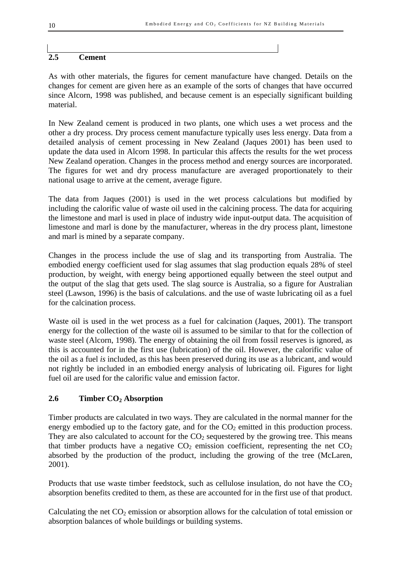#### **2.5 Cement**

As with other materials, the figures for cement manufacture have changed. Details on the changes for cement are given here as an example of the sorts of changes that have occurred since Alcorn, 1998 was published, and because cement is an especially significant building material.

In New Zealand cement is produced in two plants, one which uses a wet process and the other a dry process. Dry process cement manufacture typically uses less energy. Data from a detailed analysis of cement processing in New Zealand (Jaques 2001) has been used to update the data used in Alcorn 1998. In particular this affects the results for the wet process New Zealand operation. Changes in the process method and energy sources are incorporated. The figures for wet and dry process manufacture are averaged proportionately to their national usage to arrive at the cement, average figure.

The data from Jaques (2001) is used in the wet process calculations but modified by including the calorific value of waste oil used in the calcining process. The data for acquiring the limestone and marl is used in place of industry wide input-output data. The acquisition of limestone and marl is done by the manufacturer, whereas in the dry process plant, limestone and marl is mined by a separate company.

Changes in the process include the use of slag and its transporting from Australia. The embodied energy coefficient used for slag assumes that slag production equals 28% of steel production, by weight, with energy being apportioned equally between the steel output and the output of the slag that gets used. The slag source is Australia, so a figure for Australian steel (Lawson, 1996) is the basis of calculations. and the use of waste lubricating oil as a fuel for the calcination process.

Waste oil is used in the wet process as a fuel for calcination (Jaques, 2001). The transport energy for the collection of the waste oil is assumed to be similar to that for the collection of waste steel (Alcorn, 1998). The energy of obtaining the oil from fossil reserves is ignored, as this is accounted for in the first use (lubrication) of the oil. However, the calorific value of the oil as a fuel *is* included, as this has been preserved during its use as a lubricant, and would not rightly be included in an embodied energy analysis of lubricating oil. Figures for light fuel oil are used for the calorific value and emission factor.

#### **2.6 Timber CO2 Absorption**

Timber products are calculated in two ways. They are calculated in the normal manner for the energy embodied up to the factory gate, and for the  $CO<sub>2</sub>$  emitted in this production process. They are also calculated to account for the  $CO<sub>2</sub>$  sequestered by the growing tree. This means that timber products have a negative  $CO<sub>2</sub>$  emission coefficient, representing the net  $CO<sub>2</sub>$ absorbed by the production of the product, including the growing of the tree (McLaren, 2001).

Products that use waste timber feedstock, such as cellulose insulation, do not have the  $CO<sub>2</sub>$ absorption benefits credited to them, as these are accounted for in the first use of that product.

Calculating the net  $CO_2$  emission or absorption allows for the calculation of total emission or absorption balances of whole buildings or building systems.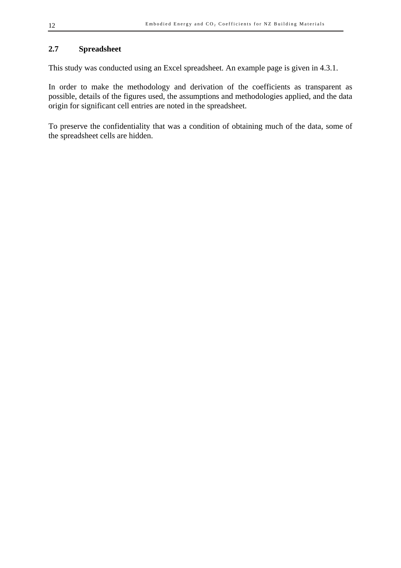#### **2.7 Spreadsheet**

This study was conducted using an Excel spreadsheet. An example page is given in 4.3.1.

In order to make the methodology and derivation of the coefficients as transparent as possible, details of the figures used, the assumptions and methodologies applied, and the data origin for significant cell entries are noted in the spreadsheet.

To preserve the confidentiality that was a condition of obtaining much of the data, some of the spreadsheet cells are hidden.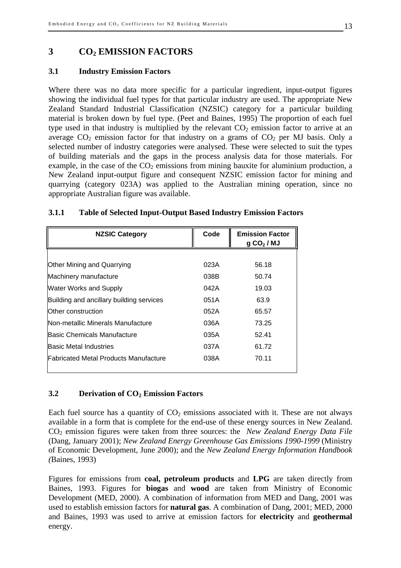#### **3 CO2 EMISSION FACTORS**

#### **3.1 Industry Emission Factors**

Where there was no data more specific for a particular ingredient, input-output figures showing the individual fuel types for that particular industry are used. The appropriate New Zealand Standard Industrial Classification (NZSIC) category for a particular building material is broken down by fuel type. (Peet and Baines, 1995) The proportion of each fuel type used in that industry is multiplied by the relevant  $CO<sub>2</sub>$  emission factor to arrive at an average  $CO_2$  emission factor for that industry on a grams of  $CO_2$  per MJ basis. Only a selected number of industry categories were analysed. These were selected to suit the types of building materials and the gaps in the process analysis data for those materials. For example, in the case of the  $CO<sub>2</sub>$  emissions from mining bauxite for aluminium production, a New Zealand input-output figure and consequent NZSIC emission factor for mining and quarrying (category 023A) was applied to the Australian mining operation, since no appropriate Australian figure was available.

| <b>NZSIC Category</b>                    | Code | <b>Emission Factor</b><br>$g CO2$ / MJ |
|------------------------------------------|------|----------------------------------------|
|                                          |      |                                        |
| Other Mining and Quarrying               | 023A | 56.18                                  |
| Machinery manufacture                    | 038B | 50.74                                  |
| <b>Water Works and Supply</b>            | 042A | 19.03                                  |
| Building and ancillary building services | 051A | 63.9                                   |
| Other construction                       | 052A | 65.57                                  |
| Non-metallic Minerals Manufacture        | 036A | 73.25                                  |
| Basic Chemicals Manufacture              | 035A | 52.41                                  |
| Basic Metal Industries                   | 037A | 61.72                                  |
| Fabricated Metal Products Manufacture    | 038A | 70.11                                  |

#### **3.1.1 Table of Selected Input-Output Based Industry Emission Factors**

#### **3.2 Derivation of CO2 Emission Factors**

Each fuel source has a quantity of  $CO<sub>2</sub>$  emissions associated with it. These are not always available in a form that is complete for the end-use of these energy sources in New Zealand. CO2 emission figures were taken from three sources: the *New Zealand Energy Data File* (Dang, January 2001); *New Zealand Energy Greenhouse Gas Emissions 1990-1999* (Ministry of Economic Development, June 2000); and the *New Zealand Energy Information Handbook (*Baines, 1993)

Figures for emissions from **coal, petroleum products** and **LPG** are taken directly from Baines, 1993. Figures for **biogas** and **wood** are taken from Ministry of Economic Development (MED, 2000). A combination of information from MED and Dang, 2001 was used to establish emission factors for **natural gas**. A combination of Dang, 2001; MED, 2000 and Baines, 1993 was used to arrive at emission factors for **electricity** and **geothermal** energy.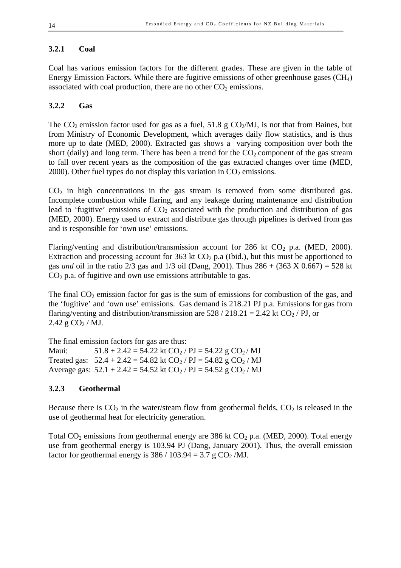#### **3.2.1 Coal**

Coal has various emission factors for the different grades. These are given in the table of Energy Emission Factors. While there are fugitive emissions of other greenhouse gases (CH4) associated with coal production, there are no other  $CO<sub>2</sub>$  emissions.

#### **3.2.2 Gas**

The  $CO_2$  emission factor used for gas as a fuel, 51.8 g  $CO_2/MJ$ , is not that from Baines, but from Ministry of Economic Development, which averages daily flow statistics, and is thus more up to date (MED, 2000). Extracted gas shows a varying composition over both the short (daily) and long term. There has been a trend for the  $CO<sub>2</sub>$  component of the gas stream to fall over recent years as the composition of the gas extracted changes over time (MED, 2000). Other fuel types do not display this variation in  $CO<sub>2</sub>$  emissions.

 $CO<sub>2</sub>$  in high concentrations in the gas stream is removed from some distributed gas. Incomplete combustion while flaring, and any leakage during maintenance and distribution lead to 'fugitive' emissions of  $CO<sub>2</sub>$  associated with the production and distribution of gas (MED, 2000). Energy used to extract and distribute gas through pipelines is derived from gas and is responsible for 'own use' emissions.

Flaring/venting and distribution/transmission account for 286 kt  $CO<sub>2</sub>$  p.a. (MED, 2000). Extraction and processing account for 363 kt  $CO<sub>2</sub>$  p.a (Ibid.), but this must be apportioned to gas *and* oil in the ratio 2/3 gas and 1/3 oil (Dang, 2001). Thus 286 + (363 X 0.667) = 528 kt  $CO<sub>2</sub>$  p.a. of fugitive and own use emissions attributable to gas.

The final  $CO<sub>2</sub>$  emission factor for gas is the sum of emissions for combustion of the gas, and the 'fugitive' and 'own use' emissions. Gas demand is 218.21 PJ p.a. Emissions for gas from flaring/venting and distribution/transmission are  $528 / 218.21 = 2.42$  kt CO<sub>2</sub> / PJ, or  $2.42$  g CO<sub>2</sub> / MJ.

The final emission factors for gas are thus: Maui:  $51.8 + 2.42 = 54.22$  kt CO<sub>2</sub> / PJ = 54.22 g CO<sub>2</sub> / MJ Treated gas:  $52.4 + 2.42 = 54.82$  kt CO<sub>2</sub> / PJ =  $54.82$  g CO<sub>2</sub> / MJ Average gas:  $52.1 + 2.42 = 54.52$  kt  $CO<sub>2</sub> / PI = 54.52$  g  $CO<sub>2</sub> / MI$ 

#### **3.2.3 Geothermal**

Because there is  $CO_2$  in the water/steam flow from geothermal fields,  $CO_2$  is released in the use of geothermal heat for electricity generation.

Total  $CO_2$  emissions from geothermal energy are 386 kt  $CO_2$  p.a. (MED, 2000). Total energy use from geothermal energy is 103.94 PJ (Dang, January 2001). Thus, the overall emission factor for geothermal energy is  $386 / 103.94 = 3.7$  g CO<sub>2</sub>/MJ.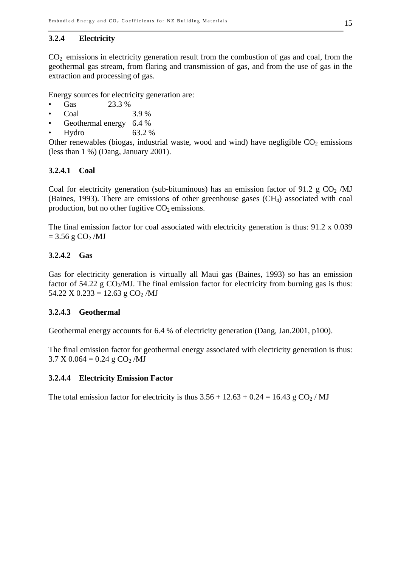#### **3.2.4 Electricity**

 $CO<sub>2</sub>$  emissions in electricity generation result from the combustion of gas and coal, from the geothermal gas stream, from flaring and transmission of gas, and from the use of gas in the extraction and processing of gas.

Energy sources for electricity generation are:

- Gas 23.3 %
- Coal 3.9 %
- Geothermal energy 6.4 %
- Hydro 63.2 %

Other renewables (biogas, industrial waste, wood and wind) have negligible  $CO<sub>2</sub>$  emissions (less than  $1\%$ ) (Dang, January 2001).

#### **3.2.4.1 Coal**

Coal for electricity generation (sub-bituminous) has an emission factor of 91.2 g  $CO<sub>2</sub>$  /MJ (Baines, 1993). There are emissions of other greenhouse gases (CH4) associated with coal production, but no other fugitive  $CO<sub>2</sub>$  emissions.

The final emission factor for coal associated with electricity generation is thus:  $91.2 \times 0.039$  $= 3.56$  g CO<sub>2</sub>/MJ

#### **3.2.4.2 Gas**

Gas for electricity generation is virtually all Maui gas (Baines, 1993) so has an emission factor of 54.22 g  $CO<sub>2</sub>/MJ$ . The final emission factor for electricity from burning gas is thus:  $54.22$  X  $0.233 = 12.63$  g  $CO<sub>2</sub>/MJ$ 

#### **3.2.4.3 Geothermal**

Geothermal energy accounts for 6.4 % of electricity generation (Dang, Jan.2001, p100).

The final emission factor for geothermal energy associated with electricity generation is thus:  $3.7 \text{ X } 0.064 = 0.24 \text{ g } CO<sub>2</sub>/MJ$ 

#### **3.2.4.4 Electricity Emission Factor**

The total emission factor for electricity is thus  $3.56 + 12.63 + 0.24 = 16.43$  g CO<sub>2</sub>/MJ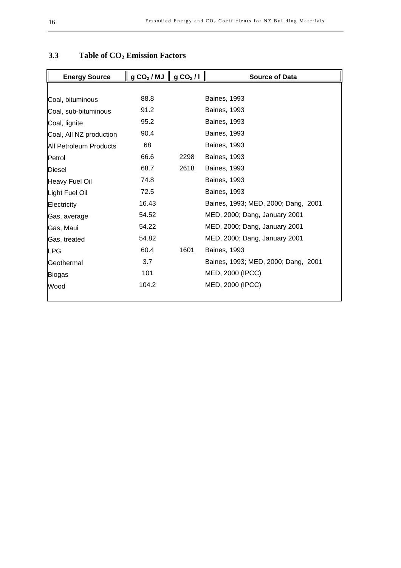| <b>Energy Source</b>    | gCO <sub>2</sub> /MJ | gCO <sub>2</sub> /I | <b>Source of Data</b>               |
|-------------------------|----------------------|---------------------|-------------------------------------|
|                         |                      |                     |                                     |
| Coal, bituminous        | 88.8                 |                     | <b>Baines, 1993</b>                 |
| Coal, sub-bituminous    | 91.2                 |                     | <b>Baines, 1993</b>                 |
| Coal, lignite           | 95.2                 |                     | <b>Baines, 1993</b>                 |
| Coal, All NZ production | 90.4                 |                     | <b>Baines, 1993</b>                 |
| All Petroleum Products  | 68                   |                     | <b>Baines, 1993</b>                 |
| Petrol                  | 66.6                 | 2298                | <b>Baines, 1993</b>                 |
| Diesel                  | 68.7                 | 2618                | <b>Baines, 1993</b>                 |
| Heavy Fuel Oil          | 74.8                 |                     | <b>Baines, 1993</b>                 |
| Light Fuel Oil          | 72.5                 |                     | <b>Baines, 1993</b>                 |
| Electricity             | 16.43                |                     | Baines, 1993; MED, 2000; Dang, 2001 |
| Gas, average            | 54.52                |                     | MED, 2000; Dang, January 2001       |
| Gas, Maui               | 54.22                |                     | MED, 2000; Dang, January 2001       |
| Gas, treated            | 54.82                |                     | MED, 2000; Dang, January 2001       |
| LPG                     | 60.4                 | 1601                | <b>Baines, 1993</b>                 |
| Geothermal              | 3.7                  |                     | Baines, 1993; MED, 2000; Dang, 2001 |
| <b>Biogas</b>           | 101                  |                     | MED, 2000 (IPCC)                    |
| Wood                    | 104.2                |                     | MED, 2000 (IPCC)                    |

## **3.3 Table of CO2 Emission Factors**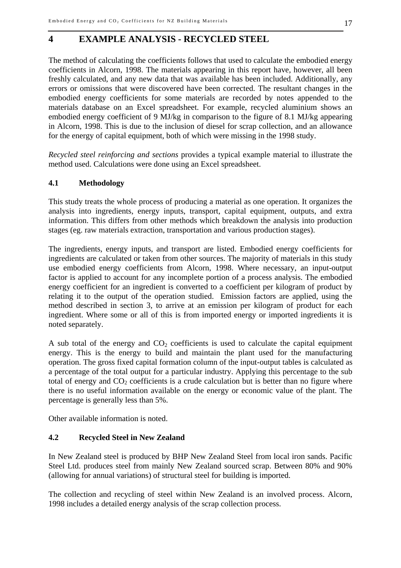#### **4 EXAMPLE ANALYSIS - RECYCLED STEEL**

The method of calculating the coefficients follows that used to calculate the embodied energy coefficients in Alcorn, 1998. The materials appearing in this report have, however, all been freshly calculated, and any new data that was available has been included. Additionally, any errors or omissions that were discovered have been corrected. The resultant changes in the embodied energy coefficients for some materials are recorded by notes appended to the materials database on an Excel spreadsheet. For example, recycled aluminium shows an embodied energy coefficient of 9 MJ/kg in comparison to the figure of 8.1 MJ/kg appearing in Alcorn, 1998. This is due to the inclusion of diesel for scrap collection, and an allowance for the energy of capital equipment, both of which were missing in the 1998 study.

*Recycled steel reinforcing and sections* provides a typical example material to illustrate the method used. Calculations were done using an Excel spreadsheet.

#### **4.1 Methodology**

This study treats the whole process of producing a material as one operation. It organizes the analysis into ingredients, energy inputs, transport, capital equipment, outputs, and extra information. This differs from other methods which breakdown the analysis into production stages (eg. raw materials extraction, transportation and various production stages).

The ingredients, energy inputs, and transport are listed. Embodied energy coefficients for ingredients are calculated or taken from other sources. The majority of materials in this study use embodied energy coefficients from Alcorn, 1998. Where necessary, an input-output factor is applied to account for any incomplete portion of a process analysis. The embodied energy coefficient for an ingredient is converted to a coefficient per kilogram of product by relating it to the output of the operation studied. Emission factors are applied, using the method described in section 3, to arrive at an emission per kilogram of product for each ingredient. Where some or all of this is from imported energy or imported ingredients it is noted separately.

A sub total of the energy and  $CO<sub>2</sub>$  coefficients is used to calculate the capital equipment energy. This is the energy to build and maintain the plant used for the manufacturing operation. The gross fixed capital formation column of the input-output tables is calculated as a percentage of the total output for a particular industry. Applying this percentage to the sub total of energy and  $CO<sub>2</sub>$  coefficients is a crude calculation but is better than no figure where there is no useful information available on the energy or economic value of the plant. The percentage is generally less than 5%.

Other available information is noted.

#### **4.2 Recycled Steel in New Zealand**

In New Zealand steel is produced by BHP New Zealand Steel from local iron sands. Pacific Steel Ltd. produces steel from mainly New Zealand sourced scrap. Between 80% and 90% (allowing for annual variations) of structural steel for building is imported.

The collection and recycling of steel within New Zealand is an involved process. Alcorn, 1998 includes a detailed energy analysis of the scrap collection process.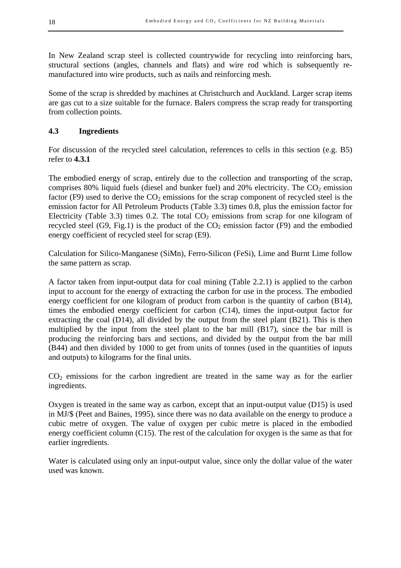In New Zealand scrap steel is collected countrywide for recycling into reinforcing bars, structural sections (angles, channels and flats) and wire rod which is subsequently remanufactured into wire products, such as nails and reinforcing mesh.

Some of the scrap is shredded by machines at Christchurch and Auckland. Larger scrap items are gas cut to a size suitable for the furnace. Balers compress the scrap ready for transporting from collection points.

#### **4.3 Ingredients**

For discussion of the recycled steel calculation, references to cells in this section (e.g. B5) refer to **4.3.1**

The embodied energy of scrap, entirely due to the collection and transporting of the scrap, comprises 80% liquid fuels (diesel and bunker fuel) and 20% electricity. The  $CO<sub>2</sub>$  emission factor (F9) used to derive the  $CO<sub>2</sub>$  emissions for the scrap component of recycled steel is the emission factor for All Petroleum Products (Table 3.3) times 0.8, plus the emission factor for Electricity (Table 3.3) times 0.2. The total  $CO<sub>2</sub>$  emissions from scrap for one kilogram of recycled steel (G9, Fig.1) is the product of the  $CO<sub>2</sub>$  emission factor (F9) and the embodied energy coefficient of recycled steel for scrap (E9).

Calculation for Silico-Manganese (SiMn), Ferro-Silicon (FeSi), Lime and Burnt Lime follow the same pattern as scrap.

A factor taken from input-output data for coal mining (Table 2.2.1) is applied to the carbon input to account for the energy of extracting the carbon for use in the process. The embodied energy coefficient for one kilogram of product from carbon is the quantity of carbon (B14), times the embodied energy coefficient for carbon (C14), times the input-output factor for extracting the coal  $(D14)$ , all divided by the output from the steel plant  $(B21)$ . This is then multiplied by the input from the steel plant to the bar mill  $(B17)$ , since the bar mill is producing the reinforcing bars and sections, and divided by the output from the bar mill (B44) and then divided by 1000 to get from units of tonnes (used in the quantities of inputs and outputs) to kilograms for the final units.

 $CO<sub>2</sub>$  emissions for the carbon ingredient are treated in the same way as for the earlier ingredients.

Oxygen is treated in the same way as carbon, except that an input-output value (D15) is used in MJ/\$ (Peet and Baines, 1995), since there was no data available on the energy to produce a cubic metre of oxygen. The value of oxygen per cubic metre is placed in the embodied energy coefficient column (C15). The rest of the calculation for oxygen is the same as that for earlier ingredients.

Water is calculated using only an input-output value, since only the dollar value of the water used was known.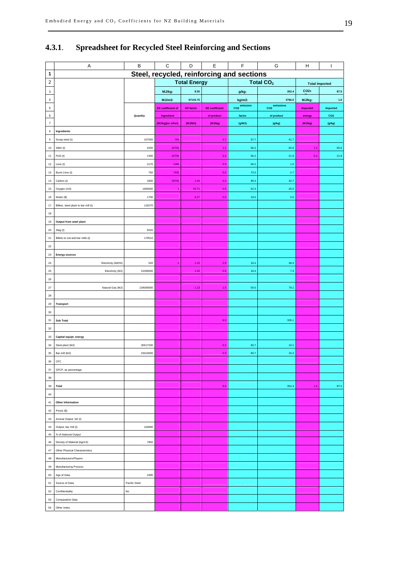|                   | Α                                         | $\sf B$             | $\mathbf C$              | D                | $\mathsf E$           | F                           | G                           | н                     | T               |
|-------------------|-------------------------------------------|---------------------|--------------------------|------------------|-----------------------|-----------------------------|-----------------------------|-----------------------|-----------------|
| 1                 | Steel, recycled, reinforcing and sections |                     |                          |                  |                       |                             |                             |                       |                 |
| $\overline{c}$    |                                           | <b>Total Energy</b> |                          |                  |                       |                             | <b>Total CO<sub>2</sub></b> | <b>Total Imported</b> |                 |
| $\mathbf{3}$      |                                           |                     | MJ/kg:                   | 8.55             |                       | g/kg:                       | 352.4                       | CO <sub>2</sub>       | 87.5            |
| $\sqrt{4}$        |                                           |                     | $MJ/m3$ :                | 67143.70         |                       | kg/m3:                      | 2766.0                      | MJ/kg:                | $1.6\,$         |
| $\sqrt{5}$        |                                           |                     | <b>EE</b> coefficient of | <b>VO</b> factor | <b>EE</b> coefficient | emission<br>CO <sub>2</sub> | CO2 <sup>emissions</sup>    | Imported              | Imported        |
| 6                 |                                           | Quantity            | ingredient               |                  | of product            | factor                      | of product                  | energy                | CO <sub>2</sub> |
| $\scriptstyle{7}$ |                                           |                     | (MJ/kg)(or other)        | (MJ/MJ)          | (MJ/kg)               | (g/MJ)                      | (g/kg)                      | (MJ/kg)               | (g/kg)          |
| 8                 | Ingredients                               |                     |                          |                  |                       |                             |                             |                       |                 |
| $\mathsf g$       | Scrap steel (t)                           | 157500              | 704                      |                  | 0.7                   | 57.7                        | 41.7                        |                       |                 |
| 10                | SiMn (t)                                  | 4200                | 42700                    |                  | 1.2                   | 56.2                        | 65.6                        | $1.2$                 | 65.6            |
| 11                | FeSi (t)                                  | 1400                | 42700                    |                  | 0.4                   | 56.2                        | 21.9                        | 0.4                   | 21.9            |
| 12                | Lime (t)                                  | 2170                | 1280                     |                  | 0.0                   | 56.2                        | $1.0\,$                     |                       |                 |
| $13\,$            | Burnt Lime (t)                            | 750                 | 7430                     |                  | 0.0                   | 73.3                        | 2.7                         |                       |                 |
| 14                | Carbon (t)                                | 1800                | 29700                    | 1.04             | 0.4                   | 90.4                        | 32.7                        |                       |                 |
| 15                | Oxygen (m3)                               | 1900000             | $\overline{1}$           | 43.71            | 0.5                   | 52.4                        | 25.5                        |                       |                 |
| 16                | Water (\$)                                | 1700                |                          | 6.27             | 0.0                   | 19.0                        | $0.0\,$                     |                       |                 |
| 17                | Billets, steel plant to bar mill (t)      | 116270              |                          |                  |                       |                             |                             |                       |                 |
| 18                |                                           |                     |                          |                  |                       |                             |                             |                       |                 |
| 19                | Output from steel plant                   |                     |                          |                  |                       |                             |                             |                       |                 |
| $20\,$            | Slag (t)                                  | 5020                |                          |                  |                       |                             |                             |                       |                 |
| $21\,$            | Billets to rod and bar mills (t)          | 170510              |                          |                  |                       |                             |                             |                       |                 |
| $22\,$            |                                           |                     |                          |                  |                       |                             |                             |                       |                 |
| $23\,$            | <b>Energy sources</b>                     |                     |                          |                  |                       |                             |                             |                       |                 |
| ${\bf 24}$        | Electricity (kWh/t)                       | 520                 | $\overline{4}$           | 1.53             | 2.9                   | 16.4                        | 48.4                        |                       |                 |
| 25                | Electricity (MJ)                          | 31000000            |                          | 1.53             | 0.5                   | 16.4                        | 7.4                         |                       |                 |
| ${\bf 26}$        |                                           |                     |                          |                  |                       |                             |                             |                       |                 |
| $27\,$            | Natural Gas (MJ)                          | 134000000           |                          | 1.13             | 1.5                   | 54.5                        | 79.1                        |                       |                 |
| 28                |                                           |                     |                          |                  |                       |                             |                             |                       |                 |
| 29                | Transport                                 |                     |                          |                  |                       |                             |                             |                       |                 |
| 30                |                                           |                     |                          |                  |                       |                             |                             |                       |                 |
| 31                | Sub Total                                 |                     |                          |                  | 8.0                   |                             | 326.1                       |                       |                 |
| 32                |                                           |                     |                          |                  |                       |                             |                             |                       |                 |
| 33                | Capital equipt. energy                    |                     |                          |                  |                       |                             |                             |                       |                 |
| 34                | Steel plant (MJ)                          | 30517200            |                          |                  | 0.2                   | 50.7                        | 10.1                        |                       |                 |
| 35                | Bar mill (MJ)                             | 33410000            |                          |                  | 0.3                   | 50.7                        | 16.2                        |                       |                 |
| $36\,$            | $\ensuremath{\mathsf{CFC}}$               |                     |                          |                  |                       |                             |                             |                       |                 |
| 37                | GFCF, as percentage                       |                     |                          |                  |                       |                             |                             |                       |                 |
| 38                |                                           |                     |                          |                  |                       |                             |                             |                       |                 |
| 39                | <b>Total</b>                              |                     |                          |                  | 8.6                   |                             | 352.4                       | $1.6$                 | 87.5            |
| 40                |                                           |                     |                          |                  |                       |                             |                             |                       |                 |
| 41                | Other Information                         |                     |                          |                  |                       |                             |                             |                       |                 |
| 42                | Prices (\$)                               |                     |                          |                  |                       |                             |                             |                       |                 |
| 43                | Annual Output, NZ (t)                     |                     |                          |                  |                       |                             |                             |                       |                 |
| 44                | Output, bar mill (t)                      | 104680              |                          |                  |                       |                             |                             |                       |                 |
| $45\,$            | % of National Output                      |                     |                          |                  |                       |                             |                             |                       |                 |
| 46                | Density of Material (kg/m3)               | 7850                |                          |                  |                       |                             |                             |                       |                 |
| $47\,$            | Other Physical Characteristics            |                     |                          |                  |                       |                             |                             |                       |                 |
| 48                | Manufacturers/Players                     |                     |                          |                  |                       |                             |                             |                       |                 |
| 49                | <b>Manufacturing Process</b>              |                     |                          |                  |                       |                             |                             |                       |                 |
| 50                | Age of Data                               | 1995                |                          |                  |                       |                             |                             |                       |                 |
| 51                | Source of Data                            | Pacific Steel       |                          |                  |                       |                             |                             |                       |                 |
| 52                | Confidentiality                           | $\mathsf{No}$       |                          |                  |                       |                             |                             |                       |                 |
| 53                | Comparative Data                          |                     |                          |                  |                       |                             |                             |                       |                 |
| 54                | Other notes                               |                     |                          |                  |                       |                             |                             |                       |                 |
|                   |                                           |                     |                          |                  |                       |                             |                             |                       |                 |

#### **4.3.1**. **Spreadsheet for Recycled Steel Reinforcing and Sections**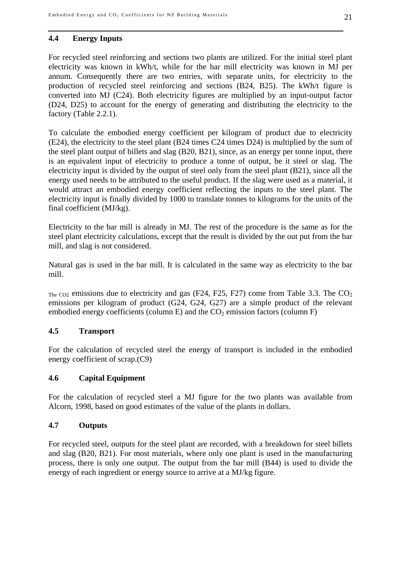#### **4.4 Energy Inputs**

For recycled steel reinforcing and sections two plants are utilized. For the initial steel plant electricity was known in kWh/t, while for the bar mill electricity was known in MJ per annum. Consequently there are two entries, with separate units, for electricity to the production of recycled steel reinforcing and sections (B24, B25). The kWh/t figure is converted into MJ (C24). Both electricity figures are multiplied by an input-output factor (D24, D25) to account for the energy of generating and distributing the electricity to the factory (Table 2.2.1).

To calculate the embodied energy coefficient per kilogram of product due to electricity (E24), the electricity to the steel plant (B24 times C24 times D24) is multiplied by the sum of the steel plant output of billets and slag (B20, B21), since, as an energy per tonne input, there is an equivalent input of electricity to produce a tonne of output, be it steel or slag. The electricity input is divided by the output of steel only from the steel plant (B21), since all the energy used needs to be attributed to the useful product. If the slag were used as a material, it would attract an embodied energy coefficient reflecting the inputs to the steel plant. The electricity input is finally divided by 1000 to translate tonnes to kilograms for the units of the final coefficient (MJ/kg).

Electricity to the bar mill is already in MJ. The rest of the procedure is the same as for the steel plant electricity calculations, except that the result is divided by the out put from the bar mill, and slag is not considered.

Natural gas is used in the bar mill. It is calculated in the same way as electricity to the bar mill.

 $T_{\text{He}}$  co<sub>2</sub> emissions due to electricity and gas (F24, F25, F27) come from Table 3.3. The CO<sub>2</sub> emissions per kilogram of product (G24, G24, G27) are a simple product of the relevant embodied energy coefficients (column E) and the  $CO<sub>2</sub>$  emission factors (column F)

#### **4.5 Transport**

For the calculation of recycled steel the energy of transport is included in the embodied energy coefficient of scrap.(C9)

#### **4.6 Capital Equipment**

For the calculation of recycled steel a MJ figure for the two plants was available from Alcorn, 1998, based on good estimates of the value of the plants in dollars.

#### **4.7 Outputs**

For recycled steel, outputs for the steel plant are recorded, with a breakdown for steel billets and slag (B20, B21). For most materials, where only one plant is used in the manufacturing process, there is only one output. The output from the bar mill (B44) is used to divide the energy of each ingredient or energy source to arrive at a MJ/kg figure.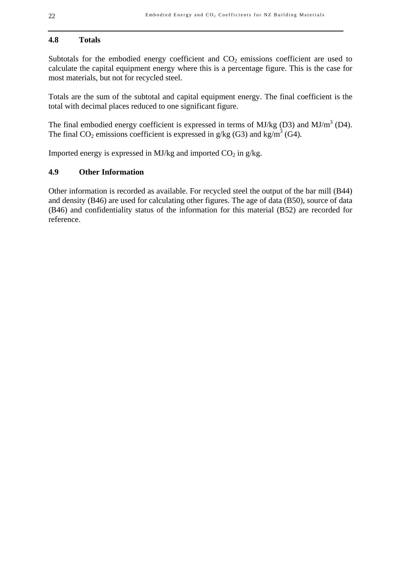#### **4.8 Totals**

Subtotals for the embodied energy coefficient and  $CO<sub>2</sub>$  emissions coefficient are used to calculate the capital equipment energy where this is a percentage figure. This is the case for most materials, but not for recycled steel.

Totals are the sum of the subtotal and capital equipment energy. The final coefficient is the total with decimal places reduced to one significant figure.

The final embodied energy coefficient is expressed in terms of MJ/kg (D3) and MJ/m<sup>3</sup> (D4). The final CO<sub>2</sub> emissions coefficient is expressed in  $g/kg$  (G3) and kg/m<sup>3</sup> (G4).

Imported energy is expressed in MJ/kg and imported  $CO<sub>2</sub>$  in g/kg.

#### **4.9 Other Information**

Other information is recorded as available. For recycled steel the output of the bar mill (B44) and density (B46) are used for calculating other figures. The age of data (B50), source of data (B46) and confidentiality status of the information for this material (B52) are recorded for reference.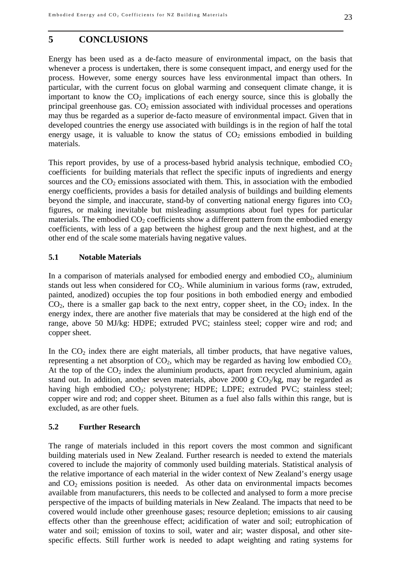#### **5 CONCLUSIONS**

Energy has been used as a de-facto measure of environmental impact, on the basis that whenever a process is undertaken, there is some consequent impact, and energy used for the process. However, some energy sources have less environmental impact than others. In particular, with the current focus on global warming and consequent climate change, it is important to know the  $CO<sub>2</sub>$  implications of each energy source, since this is globally the principal greenhouse gas.  $CO<sub>2</sub>$  emission associated with individual processes and operations may thus be regarded as a superior de-facto measure of environmental impact. Given that in developed countries the energy use associated with buildings is in the region of half the total energy usage, it is valuable to know the status of  $CO<sub>2</sub>$  emissions embodied in building materials.

This report provides, by use of a process-based hybrid analysis technique, embodied  $CO<sub>2</sub>$ coefficients for building materials that reflect the specific inputs of ingredients and energy sources and the  $CO<sub>2</sub>$  emissions associated with them. This, in association with the embodied energy coefficients, provides a basis for detailed analysis of buildings and building elements beyond the simple, and inaccurate, stand-by of converting national energy figures into  $CO<sub>2</sub>$ figures, or making inevitable but misleading assumptions about fuel types for particular materials. The embodied  $CO<sub>2</sub>$  coefficients show a different pattern from the embodied energy coefficients, with less of a gap between the highest group and the next highest, and at the other end of the scale some materials having negative values.

#### **5.1 Notable Materials**

In a comparison of materials analysed for embodied energy and embodied  $CO<sub>2</sub>$ , aluminium stands out less when considered for  $CO<sub>2</sub>$ . While aluminium in various forms (raw, extruded, painted, anodized) occupies the top four positions in both embodied energy and embodied  $CO<sub>2</sub>$ , there is a smaller gap back to the next entry, copper sheet, in the  $CO<sub>2</sub>$  index. In the energy index, there are another five materials that may be considered at the high end of the range, above 50 MJ/kg: HDPE; extruded PVC; stainless steel; copper wire and rod; and copper sheet.

In the  $CO<sub>2</sub>$  index there are eight materials, all timber products, that have negative values, representing a net absorption of  $CO<sub>2</sub>$ , which may be regarded as having low embodied  $CO<sub>2</sub>$ . At the top of the  $CO<sub>2</sub>$  index the aluminium products, apart from recycled aluminium, again stand out. In addition, another seven materials, above 2000 g  $CO<sub>2</sub>/kg$ , may be regarded as having high embodied CO<sub>2</sub>: polystyrene; HDPE; LDPE; extruded PVC; stainless steel; copper wire and rod; and copper sheet. Bitumen as a fuel also falls within this range, but is excluded, as are other fuels.

#### **5.2 Further Research**

The range of materials included in this report covers the most common and significant building materials used in New Zealand. Further research is needed to extend the materials covered to include the majority of commonly used building materials. Statistical analysis of the relative importance of each material in the wider context of New Zealand's energy usage and  $CO<sub>2</sub>$  emissions position is needed. As other data on environmental impacts becomes available from manufacturers, this needs to be collected and analysed to form a more precise perspective of the impacts of building materials in New Zealand. The impacts that need to be covered would include other greenhouse gases; resource depletion; emissions to air causing effects other than the greenhouse effect; acidification of water and soil; eutrophication of water and soil; emission of toxins to soil, water and air; waster disposal, and other sitespecific effects. Still further work is needed to adapt weighting and rating systems for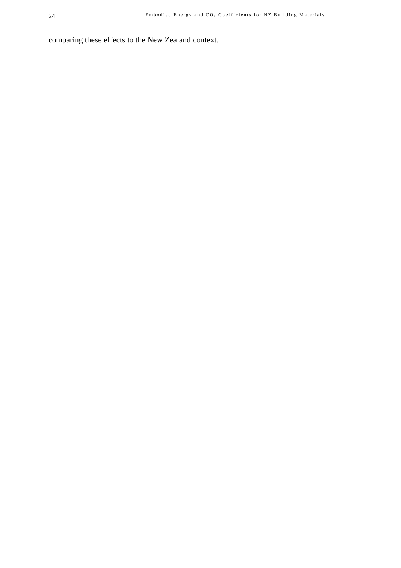comparing these effects to the New Zealand context.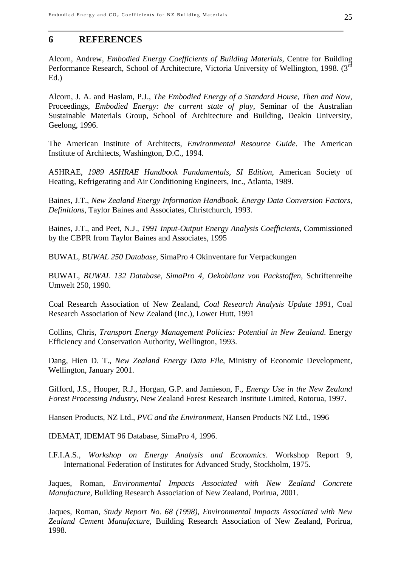#### **6 REFERENCES**

Alcorn, Andrew, *Embodied Energy Coefficients of Building Materials*, Centre for Building Performance Research, School of Architecture, Victoria University of Wellington, 1998. (3<sup>rd</sup>) Ed.)

Alcorn, J. A. and Haslam, P.J., *The Embodied Energy of a Standard House, Then and Now*, Proceedings, *Embodied Energy: the current state of play*, Seminar of the Australian Sustainable Materials Group, School of Architecture and Building, Deakin University, Geelong, 1996.

The American Institute of Architects, *Environmental Resource Guide*. The American Institute of Architects, Washington, D.C., 1994.

ASHRAE, *1989 ASHRAE Handbook Fundamentals, SI Edition*, American Society of Heating, Refrigerating and Air Conditioning Engineers, Inc., Atlanta, 1989.

Baines, J.T., *New Zealand Energy Information Handbook. Energy Data Conversion Factors, Definitions,* Taylor Baines and Associates, Christchurch, 1993.

Baines, J.T., and Peet, N.J., *1991 Input-Output Energy Analysis Coefficients*, Commissioned by the CBPR from Taylor Baines and Associates, 1995

BUWAL, *BUWAL 250 Database*, SimaPro 4 Okinventare fur Verpackungen

BUWAL, *BUWAL 132 Database, SimaPro 4, Oekobilanz von Packstoffen*, Schriftenreihe Umwelt 250, 1990.

Coal Research Association of New Zealand, *Coal Research Analysis Update 1991*, Coal Research Association of New Zealand (Inc.), Lower Hutt, 1991

Collins, Chris, *Transport Energy Management Policies: Potential in New Zealand*. Energy Efficiency and Conservation Authority, Wellington, 1993.

Dang, Hien D. T., *New Zealand Energy Data File*, Ministry of Economic Development, Wellington, January 2001.

Gifford, J.S., Hooper, R.J., Horgan, G.P. and Jamieson, F., *Energy Use in the New Zealand Forest Processing Industry*, New Zealand Forest Research Institute Limited, Rotorua, 1997.

Hansen Products, NZ Ltd., *PVC and the Environment*, Hansen Products NZ Ltd., 1996

IDEMAT, IDEMAT 96 Database, SimaPro 4, 1996.

I.F.I.A.S., *Workshop on Energy Analysis and Economics*. Workshop Report 9, International Federation of Institutes for Advanced Study, Stockholm, 1975.

Jaques, Roman, *Environmental Impacts Associated with New Zealand Concrete Manufacture*, Building Research Association of New Zealand, Porirua, 2001.

Jaques, Roman, *Study Report No. 68 (1998)*, *Environmental Impacts Associated with New Zealand Cement Manufacture*, Building Research Association of New Zealand, Porirua, 1998.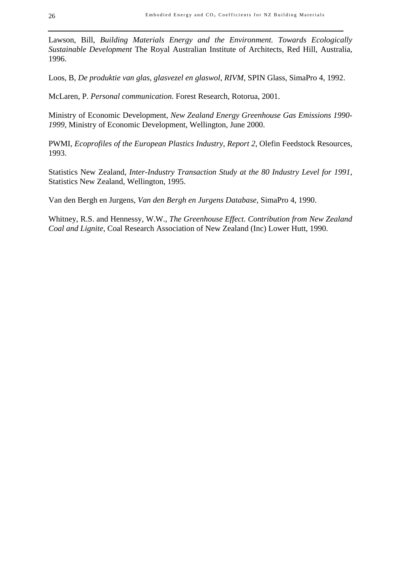Lawson, Bill, *Building Materials Energy and the Environment. Towards Ecologically Sustainable Development* The Royal Australian Institute of Architects, Red Hill, Australia, 1996.

Loos, B, *De produktie van glas, glasvezel en glaswol, RIVM,* SPIN Glass, SimaPro 4, 1992.

McLaren, P. *Personal communication*. Forest Research, Rotorua, 2001.

Ministry of Economic Development*, New Zealand Energy Greenhouse Gas Emissions 1990- 1999*, Ministry of Economic Development, Wellington, June 2000.

PWMI, *Ecoprofiles of the European Plastics Industry, Report 2,* Olefin Feedstock Resources, 1993.

Statistics New Zealand, *Inter-Industry Transaction Study at the 80 Industry Level for 1991*, Statistics New Zealand, Wellington, 1995.

Van den Bergh en Jurgens, *Van den Bergh en Jurgens Database,* SimaPro 4, 1990.

Whitney, R.S. and Hennessy, W.W., *The Greenhouse Effect. Contribution from New Zealand Coal and Lignite*, Coal Research Association of New Zealand (Inc) Lower Hutt, 1990.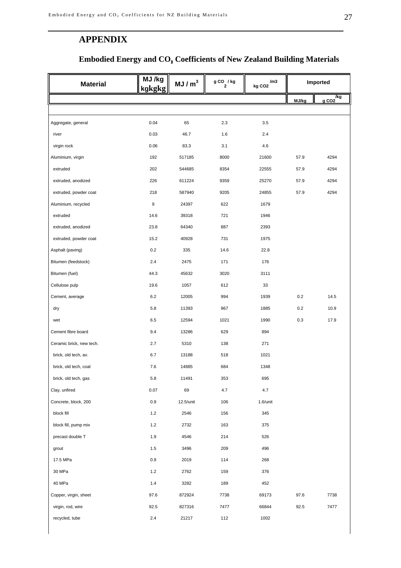## **APPENDIX**

## **Embodied Energy and CO**2 **Coefficients of New Zealand Building Materials**

| <b>Material</b>          | MJ /kg<br>kgkgkg | MJ/m <sup>3</sup> | $g$ CO $\frac{7}{2}$ kg | /m3<br>kg CO <sub>2</sub> |       | Imported                |
|--------------------------|------------------|-------------------|-------------------------|---------------------------|-------|-------------------------|
|                          |                  |                   |                         |                           | MJ/kg | /kg<br>gCO <sub>2</sub> |
|                          |                  |                   |                         |                           |       |                         |
| Aggregate, general       | 0.04             | 65                | 2.3                     | 3.5                       |       |                         |
| river                    | 0.03             | 46.7              | 1.6                     | 2.4                       |       |                         |
| virgin rock              | 0.06             | 83.3              | 3.1                     | 4.6                       |       |                         |
| Aluminium, virgin        | 192              | 517185            | 8000                    | 21600                     | 57.9  | 4294                    |
| extruded                 | 202              | 544685            | 8354                    | 22555                     | 57.9  | 4294                    |
| extruded, anodized       | 226              | 611224            | 9359                    | 25270                     | 57.9  | 4294                    |
| extruded, powder coat    | 218              | 587940            | 9205                    | 24855                     | 57.9  | 4294                    |
| Aluminium, recycled      | 9                | 24397             | 622                     | 1679                      |       |                         |
| extruded                 | 14.6             | 39318             | 721                     | 1946                      |       |                         |
| extruded, anodized       | 23.8             | 64340             | 887                     | 2393                      |       |                         |
| extruded, powder coat    | 15.2             | 40928             | 731                     | 1975                      |       |                         |
| Asphalt (paving)         | 0.2              | 335               | 14.6                    | 22.8                      |       |                         |
| Bitumen (feedstock)      | 2.4              | 2475              | 171                     | 176                       |       |                         |
| Bitumen (fuel)           | 44.3             | 45632             | 3020                    | 3111                      |       |                         |
| Cellulose pulp           | 19.6             | 1057              | 612                     | 33                        |       |                         |
| Cement, average          | 6.2              | 12005             | 994                     | 1939                      | 0.2   | 14.5                    |
| dry                      | 5.8              | 11393             | 967                     | 1885                      | 0.2   | 10.9                    |
| wet                      | 6.5              | 12594             | 1021                    | 1990                      | 0.3   | 17.9                    |
| Cement fibre board       | 9.4              | 13286             | 629                     | 894                       |       |                         |
| Ceramic brick, new tech. | 2.7              | 5310              | 138                     | 271                       |       |                         |
| brick, old tech, av.     | 6.7              | 13188             | 518                     | 1021                      |       |                         |
| brick, old tech, coal    | 7.6              | 14885             | 684                     | 1348                      |       |                         |
| brick, old tech, gas     | 5.8              | 11491             | 353                     | 695                       |       |                         |
| Clay, unfired            | 0.07             | 69                | 4.7                     | 4.7                       |       |                         |
| Concrete, block, 200     | 0.9              | 12.5/unit         | 106                     | $1.6$ /unit               |       |                         |
| block fill               | 1.2              | 2546              | 156                     | 345                       |       |                         |
| block fill, pump mix     | $1.2\,$          | 2732              | 163                     | 375                       |       |                         |
| precast double T         | 1.9              | 4546              | 214                     | 526                       |       |                         |
| grout                    | 1.5              | 3496              | 209                     | 496                       |       |                         |
| 17.5 MPa                 | 0.9              | 2019              | 114                     | 268                       |       |                         |
| 30 MPa                   | $1.2\,$          | 2762              | 159                     | 376                       |       |                         |
| 40 MPa                   | 1.4              | 3282              | 189                     | 452                       |       |                         |
| Copper, virgin, sheet    | 97.6             | 872924            | 7738                    | 69173                     | 97.6  | 7738                    |
| virgin, rod, wire        | 92.5             | 827316            | 7477                    | 66844                     | 92.5  | 7477                    |
| recycled, tube           | $2.4\,$          | 21217             | 112                     | 1002                      |       |                         |
|                          |                  |                   |                         |                           |       |                         |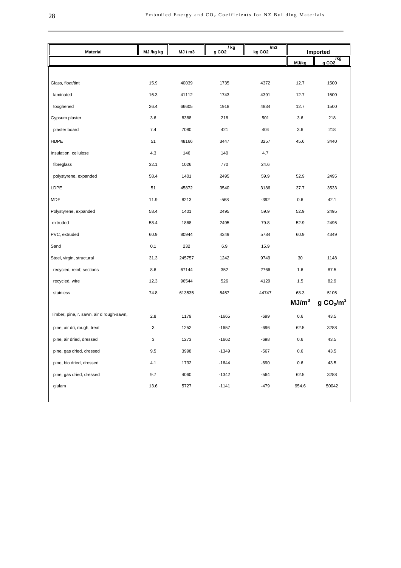| <b>Material</b>                          | MJ /kg kg | MJ/m3  | / kg<br>g CO <sub>2</sub> | /m3<br>kg CO <sub>2</sub> | Imported          |                                                                |
|------------------------------------------|-----------|--------|---------------------------|---------------------------|-------------------|----------------------------------------------------------------|
|                                          |           |        |                           |                           | MJ/kg             | $\underbrace{\overbrace{\mathbf{g} \text{ CO2}}^{\text{/kg}}}$ |
|                                          |           |        |                           |                           |                   |                                                                |
| Glass, float/tint                        | 15.9      | 40039  | 1735                      | 4372                      | 12.7              | 1500                                                           |
| laminated                                | 16.3      | 41112  | 1743                      | 4391                      | 12.7              | 1500                                                           |
| toughened                                | 26.4      | 66605  | 1918                      | 4834                      | 12.7              | 1500                                                           |
| Gypsum plaster                           | 3.6       | 8388   | 218                       | 501                       | 3.6               | 218                                                            |
| plaster board                            | 7.4       | 7080   | 421                       | 404                       | 3.6               | 218                                                            |
| HDPE                                     | 51        | 48166  | 3447                      | 3257                      | 45.6              | 3440                                                           |
| Insulation, cellulose                    | 4.3       | 146    | 140                       | 4.7                       |                   |                                                                |
| fibreglass                               | 32.1      | 1026   | 770                       | 24.6                      |                   |                                                                |
| polystyrene, expanded                    | 58.4      | 1401   | 2495                      | 59.9                      | 52.9              | 2495                                                           |
| LDPE                                     | 51        | 45872  | 3540                      | 3186                      | 37.7              | 3533                                                           |
| <b>MDF</b>                               | 11.9      | 8213   | $-568$                    | $-392$                    | 0.6               | 42.1                                                           |
| Polystyrene, expanded                    | 58.4      | 1401   | 2495                      | 59.9                      | 52.9              | 2495                                                           |
| extruded                                 | 58.4      | 1868   | 2495                      | 79.8                      | 52.9              | 2495                                                           |
| PVC, extruded                            | 60.9      | 80944  | 4349                      | 5784                      | 60.9              | 4349                                                           |
| Sand                                     | 0.1       | 232    | 6.9                       | 15.9                      |                   |                                                                |
| Steel, virgin, structural                | 31.3      | 245757 | 1242                      | 9749                      | 30                | 1148                                                           |
| recycled, reinf, sections                | 8.6       | 67144  | 352                       | 2766                      | 1.6               | 87.5                                                           |
| recycled, wire                           | 12.3      | 96544  | 526                       | 4129                      | 1.5               | 82.9                                                           |
| stainless                                | 74.8      | 613535 | 5457                      | 44747                     | 68.3              | 5105                                                           |
|                                          |           |        |                           |                           | MJ/m <sup>3</sup> | g CO <sub>2</sub> /m <sup>3</sup>                              |
| Timber, pine, r. sawn, air d rough-sawn, | 2.8       | 1179   | $-1665$                   | $-699$                    | 0.6               | 43.5                                                           |
| pine, air dri, rough, treat              | 3         | 1252   | $-1657$                   | $-696$                    | 62.5              | 3288                                                           |
| pine, air dried, dressed                 | 3         | 1273   | $-1662$                   | $-698$                    | 0.6               | 43.5                                                           |
| pine, gas dried, dressed                 | 9.5       | 3998   | $-1349$                   | -567                      | 0.6               | 43.5                                                           |
| pine, bio dried, dressed                 | 4.1       | 1732   | $-1644$                   | $-690$                    | 0.6               | 43.5                                                           |
| pine, gas dried, dressed                 | 9.7       | 4060   | $-1342$                   | -564                      | 62.5              | 3288                                                           |
| glulam                                   | 13.6      | 5727   | $-1141$                   | $-479$                    | 954.6             | 50042                                                          |
|                                          |           |        |                           |                           |                   |                                                                |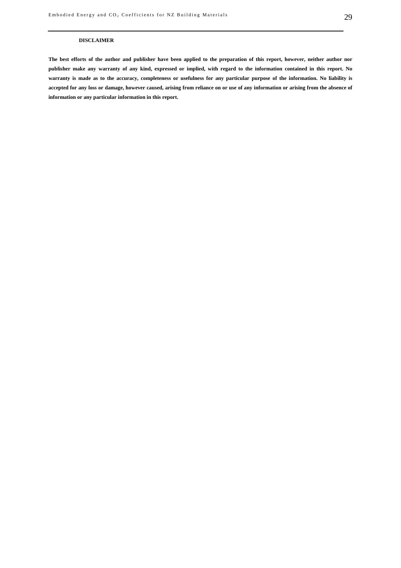#### **DISCLAIMER**

**The best efforts of the author and publisher have been applied to the preparation of this report, however, neither author nor publisher make any warranty of any kind, expressed or implied, with regard to the information contained in this report. No warranty is made as to the accuracy, completeness or usefulness for any particular purpose of the information. No liability is accepted for any loss or damage, however caused, arising from reliance on or use of any information or arising from the absence of information or any particular information in this report.**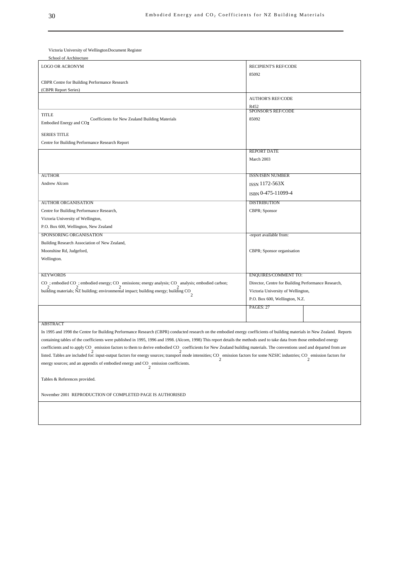Victoria University of Wellington Document Register

| School of Architecture                                                                                                                                                    |                                                     |
|---------------------------------------------------------------------------------------------------------------------------------------------------------------------------|-----------------------------------------------------|
| <b>LOGO OR ACRONYM</b>                                                                                                                                                    | <b>RECIPIENT'S REF/CODE</b>                         |
|                                                                                                                                                                           | 85092                                               |
| CBPR Centre for Building Performance Research                                                                                                                             |                                                     |
| (CBPR Report Series)                                                                                                                                                      |                                                     |
|                                                                                                                                                                           | <b>AUTHOR'S REF/CODE</b>                            |
|                                                                                                                                                                           | R452                                                |
| <b>TITLE</b>                                                                                                                                                              | <b>SPONSOR'S REF/CODE</b>                           |
| Coefficients for New Zealand Building Materials<br>Embodied Energy and CO <sub>2</sub>                                                                                    | 85092                                               |
| <b>SERIES TITLE</b>                                                                                                                                                       |                                                     |
| Centre for Building Performance Research Report                                                                                                                           |                                                     |
|                                                                                                                                                                           | <b>REPORT DATE</b>                                  |
|                                                                                                                                                                           | March 2003                                          |
|                                                                                                                                                                           |                                                     |
| <b>AUTHOR</b>                                                                                                                                                             | <b>ISSN/ISBN NUMBER</b>                             |
| Andrew Alcorn                                                                                                                                                             |                                                     |
|                                                                                                                                                                           | ISSN 1172-563X                                      |
|                                                                                                                                                                           | ISBN 0-475-11099-4                                  |
| <b>AUTHOR ORGANISATION</b>                                                                                                                                                | <b>DISTRIBUTION</b>                                 |
| Centre for Building Performance Research,                                                                                                                                 | CBPR; Sponsor                                       |
| Victoria University of Wellington,                                                                                                                                        |                                                     |
| P.O. Box 600, Wellington, New Zealand                                                                                                                                     |                                                     |
| SPONSORING ORGANISATION                                                                                                                                                   | -report available from:                             |
| Building Research Association of New Zealand,                                                                                                                             |                                                     |
| Moonshine Rd, Judgeford,                                                                                                                                                  | CBPR; Sponsor organisation                          |
| Wellington.                                                                                                                                                               |                                                     |
|                                                                                                                                                                           |                                                     |
| <b>KEYWORDS</b>                                                                                                                                                           | <b>ENQUIRES/COMMENT TO:</b>                         |
| CO ; embodied CO ; embodied energy; CO emissions; energy analysis; CO analysis; embodied carbon; 2 2                                                                      | Director, Centre for Building Performance Research, |
| building materials; NZ building; environmental impact; building energy; building CO                                                                                       | Victoria University of Wellington,                  |
|                                                                                                                                                                           | P.O. Box 600, Wellington, N.Z.                      |
|                                                                                                                                                                           | PAGES: 27                                           |
|                                                                                                                                                                           |                                                     |
| <b>ABSTRACT</b>                                                                                                                                                           |                                                     |
| In 1995 and 1998 the Centre for Building Performance Research (CBPR) conducted research on the embodied energy coefficients of building materials in New Zealand. Reports |                                                     |

containing tables of the coefficients were published in 1995, 1996 and 1998. (Alcorn, 1998) This report details the methods used to take data from those embodied energy coefficients and to apply CO emission factors to them to derive embodied CO coefficients for New Zealand building materials. The conventions used and departed from are<br>
2 listed. Tables are included for: input-output factors for energy sources; transport mode intensities; CO emission factors for some NZSIC industries; CO emission factors for  $\frac{2}{2}$ energy sources; and an appendix of embodied energy and CO emission coefficients.<br>  $\frac{2}{2}$ 

Tables & References provided.

November 2001 REPRODUCTION OF COMPLETED PAGE IS AUTHORISED